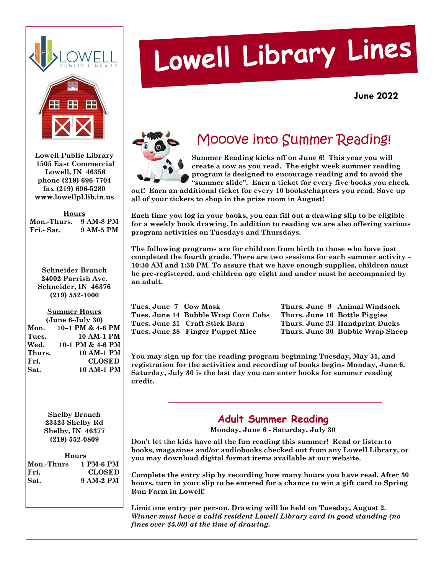



**Lowell Public Library 1505 East Commercial Lowell, IN 46356 phone (219) 696-7704 fax (219) 696-5280 www.lowellpl.lib.in.us** 

**Hours Mon.-Thurs. 9 AM-8 PM Fri.- Sat. 9 AM-5 PM** 

**Schneider Branch 24002 Parrish Ave. Schneider, IN 46376 (219) 552-1000** 

### **Summer Hours**

| $(June 6-July 30)$ |                  |  |  |
|--------------------|------------------|--|--|
| Mon.               | 10-1 PM & 4-6 PM |  |  |
| Tues.              | 10 AM-1 PM       |  |  |
| Wed.               | 10-1 PM & 4-6 PM |  |  |
| Thurs.             | 10 AM-1 PM       |  |  |
| Fri.               | <b>CLOSED</b>    |  |  |
| Sat.               | 10 AM-1 PM       |  |  |

**Shelby Branch 23323 Shelby Rd Shelby, IN 46377 (219) 552-0809** 

| Hours                |               |  |  |
|----------------------|---------------|--|--|
| Mon.-Thurs 1 PM-6 PM |               |  |  |
| IFri.                | <b>CLOSED</b> |  |  |
| <b>Sat.</b>          | 9 AM-2 PM     |  |  |

# Lowell Library Lines

**June 2022** 



### Mooove into Summer Reading!

**Summer Reading kicks off on June 6! This year you will create a cow as you read. The eight week summer reading program is designed to encourage reading and to avoid the "summer slide". Earn a ticket for every five books you check** 

**out! Earn an additional ticket for every 10 books/chapters you read. Save up all of your tickets to shop in the prize room in August!** 

**Each time you log in your books, you can fill out a drawing slip to be eligible for a weekly book drawing. In addition to reading we are also offering various program activities on Tuesdays and Thursdays.** 

**The following programs are for children from birth to those who have just completed the fourth grade. There are two sessions for each summer activity – 10:30 AM and 1:30 PM. To assure that we have enough supplies, children must be pre-registered, and children age eight and under must be accompanied by an adult.** 

| Tues. June 7 Cow Mask |                                     |
|-----------------------|-------------------------------------|
|                       | Tues. June 14 Bubble Wrap Corn Cobs |
|                       | Tues. June 21 Craft Stick Barn      |
|                       | Tues. June 28 Finger Puppet Mice    |

**Thurs. June 9 Animal Windsock Thurs. June 16 Bottle Piggies Thurs. June 23 Handprint Ducks Thurs. June 30 Bubble Wrap Sheep** 

**You may sign up for the reading program beginning Tuesday, May 31, and registration for the activities and recording of books begins Monday, June 6. Saturday, July 30 is the last day you can enter books for summer reading credit.** 

### **Adult Summer Reading**

**Monday, June 6 - Saturday, July 30** 

**Don't let the kids have all the fun reading this summer! Read or listen to books, magazines and/or audiobooks checked out from any Lowell Library, or you may download digital format items available at our website.** 

**Complete the entry slip by recording how many hours you have read. After 30 hours, turn in your slip to be entered for a chance to win a gift card to Spring Run Farm in Lowell!** 

**Limit one entry per person. Drawing will be held on Tuesday, August 2.**  *Winner must have a valid resident Lowell Library card in good standing (no fines over \$5.00) at the time of drawing.*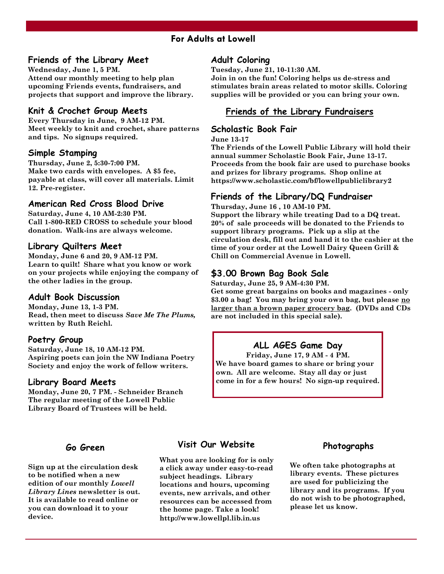### **For Adults at Lowell**

### **Friends of the Library Meet**

**Wednesday, June 1, 5 PM. Attend our monthly meeting to help plan upcoming Friends events, fundraisers, and projects that support and improve the library.** 

### **Knit & Crochet Group Meets**

**Every Thursday in June, 9 AM-12 PM. Meet weekly to knit and crochet, share patterns and tips. No signups required.** 

### **Simple Stamping**

**Thursday, June 2, 5:30-7:00 PM. Make two cards with envelopes. A \$5 fee, payable at class, will cover all materials. Limit 12. Pre-register.** 

### **American Red Cross Blood Drive**

**Saturday, June 4, 10 AM-2:30 PM. Call 1-800-RED CROSS to schedule your blood donation. Walk-ins are always welcome.** 

### **Library Quilters Meet**

**Monday, June 6 and 20, 9 AM-12 PM. Learn to quilt! Share what you know or work on your projects while enjoying the company of the other ladies in the group.** 

### **Adult Book Discussion**

**Monday, June 13, 1-3 PM. Read, then meet to discuss** *Save Me The Plums,*  **written by Ruth Reichl.** 

### **Poetry Group**

**Saturday, June 18, 10 AM-12 PM. Aspiring poets can join the NW Indiana Poetry Society and enjoy the work of fellow writers.** 

### **Library Board Meets**

**Monday, June 20, 7 PM. - Schneider Branch The regular meeting of the Lowell Public Library Board of Trustees will be held.** 

### **Go Green**

**Sign up at the circulation desk to be notified when a new edition of our monthly** *Lowell Library Lines* **newsletter is out. It is available to read online or you can download it to your device.** 

### **Adult Coloring**

**Tuesday, June 21, 10-11:30 AM.** 

**Join in on the fun! Coloring helps us de-stress and stimulates brain areas related to motor skills. Coloring supplies will be provided or you can bring your own.** 

### **Friends of the Library Fundraisers**

### **Scholastic Book Fair**

**June 13-17**

**The Friends of the Lowell Public Library will hold their annual summer Scholastic Book Fair, June 13-17. Proceeds from the book fair are used to purchase books and prizes for library programs. Shop online at https://www.scholastic.com/bf/lowellpubliclibrary2** 

### **Friends of the Library/DQ Fundraiser**

**Thursday, June 16 , 10 AM-10 PM.** 

**Support the library while treating Dad to a DQ treat. 20% of sale proceeds will be donated to the Friends to support library programs. Pick up a slip at the circulation desk, fill out and hand it to the cashier at the time of your order at the Lowell Dairy Queen Grill & Chill on Commercial Avenue in Lowell.** 

### **\$3.00 Brown Bag Book Sale**

**Saturday, June 25, 9 AM-4:30 PM.** 

**Get some great bargains on books and magazines - only \$3.00 a bag! You may bring your own bag, but please no larger than a brown paper grocery bag. (DVDs and CDs are not included in this special sale).** 

### **ALL AGES Game Day**

**Friday, June 17, 9 AM - 4 PM. We have board games to share or bring your own. All are welcome. Stay all day or just come in for a few hours! No sign-up required.** 

### **Visit Our Website**

**What you are looking for is only a click away under easy-to-read subject headings. Library locations and hours, upcoming events, new arrivals, and other resources can be accessed from the home page. Take a look! http://www.lowellpl.lib.in.us** 

### **Photographs**

**We often take photographs at library events. These pictures are used for publicizing the library and its programs. If you do not wish to be photographed, please let us know.**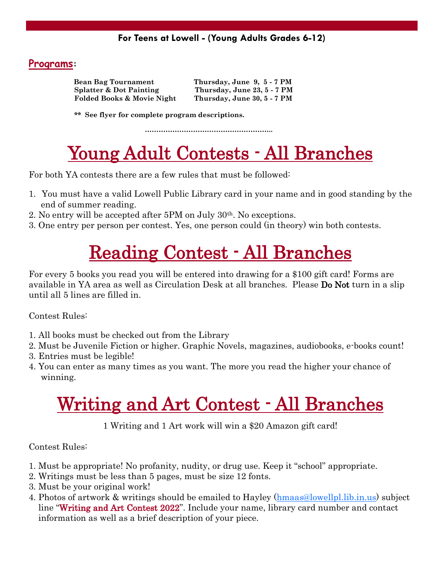### **Programs:**

| <b>Bean Bag Tournament</b>            | Thursday, June 9, 5 - 7 PM  |
|---------------------------------------|-----------------------------|
| <b>Splatter &amp; Dot Painting</b>    | Thursday, June 23, 5 - 7 PM |
| <b>Folded Books &amp; Movie Night</b> | Thursday, June 30, 5 - 7 PM |

 **\*\* See flyer for complete program descriptions.** 

………………………………………………..

# Young Adult Contests - All Branches

For both YA contests there are a few rules that must be followed:

- 1. You must have a valid Lowell Public Library card in your name and in good standing by the end of summer reading.
- 2. No entry will be accepted after 5PM on July 30th. No exceptions.
- 3. One entry per person per contest. Yes, one person could (in theory) win both contests.

# Reading Contest - All Branches

For every 5 books you read you will be entered into drawing for a \$100 gift card! Forms are available in YA area as well as Circulation Desk at all branches. Please Do Not turn in a slip until all 5 lines are filled in.

Contest Rules:

- 1. All books must be checked out from the Library
- 2. Must be Juvenile Fiction or higher. Graphic Novels, magazines, audiobooks, e-books count!
- 3. Entries must be legible!
- 4. You can enter as many times as you want. The more you read the higher your chance of winning.

# Writing and Art Contest - All Branches

1 Writing and 1 Art work will win a \$20 Amazon gift card!

Contest Rules:

- 1. Must be appropriate! No profanity, nudity, or drug use. Keep it "school" appropriate.
- 2. Writings must be less than 5 pages, must be size 12 fonts.
- 3. Must be your original work!
- 4. Photos of artwork & writings should be emailed to Hayley ([hmaas@lowellpl.lib.in.us\)](mailto:hmaas@lowellpl.lib.in.us) subject line "Writing and Art Contest 2022". Include your name, library card number and contact information as well as a brief description of your piece.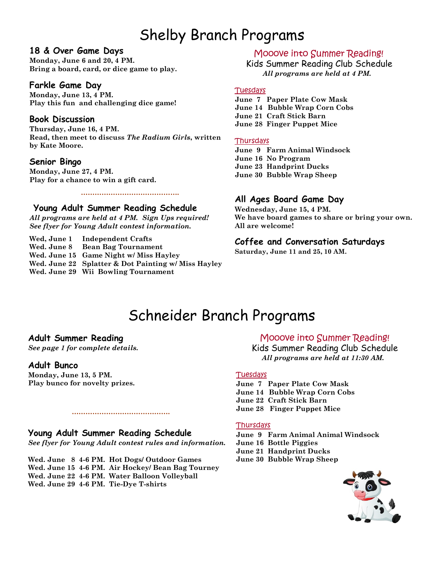### **Shelby Branch Programs** Shelby Branch Programs

### **18 & Over Game Days**

**Monday, June 6 and 20, 4 PM. Bring a board, card, or dice game to play.** 

### **Farkle Game Day**

**Monday, June 13, 4 PM. Play this fun and challenging dice game!** 

### **Book Discussion**

**Thursday, June 16, 4 PM. Read, then meet to discuss** *The Radium Girls***, written by Kate Moore.** 

### **Senior Bingo**

**Monday, June 27, 4 PM. Play for a chance to win a gift card.** 

### **Young Adult Summer Reading Schedule**

*All programs are held at 4 PM.**Sign Ups required! See flyer for Young Adult contest information.* 

**Wed, June 1 Independent Crafts Wed. June 8 Bean Bag Tournament Wed. June 15 Game Night w/ Miss Hayley Wed. June 22 Splatter & Dot Painting w/ Miss Hayley Wed. June 29 Wii Bowling Tournament**

 **…………………………………….**

### Mooove into Summer Reading!

Kids Summer Reading Club Schedule *All programs are held at 4 PM.* 

### Tuesdays

**June 7 Paper Plate Cow Mask June 14 Bubble Wrap Corn Cobs June 21 Craft Stick Barn June 28 Finger Puppet Mice** 

#### **Thursdays**

**June 9 Farm Animal Windsock June 16 No Program June 23 Handprint Ducks June 30 Bubble Wrap Sheep** 

### **All Ages Board Game Day**

**Wednesday, June 15, 4 PM. We have board games to share or bring your own. All are welcome!** 

### **Coffee and Conversation Saturdays**

**Saturday, June 11 and 25, 10 AM.** 

### Schneider Branch Programs

### **Adult Summer Reading**

*See page 1 for complete details.* 

### **Adult Bunco**

**Monday, June 13, 5 PM. Play bunco for novelty prizes.** 

### **Young Adult Summer Reading Schedule**

*See flyer for Young Adult contest rules and information.* 

 **…………………………………….**

**Wed. June 8 4-6 PM. Hot Dogs/ Outdoor Games Wed. June 15 4-6 PM. Air Hockey/ Bean Bag Tourney Wed. June 22 4-6 PM. Water Balloon Volleyball Wed. June 29 4-6 PM. Tie-Dye T-shirts** 

### Mooove into Summer Reading!

 Kids Summer Reading Club Schedule *All programs are held at 11:30 AM.* 

### **Tuesdays**

**June 7 Paper Plate Cow Mask June 14 Bubble Wrap Corn Cobs June 22 Craft Stick Barn June 28 Finger Puppet Mice** 

#### **Thursdays**

**June 9 Farm Animal Animal Windsock June 16 Bottle Piggies June 21 Handprint Ducks June 30 Bubble Wrap Sheep** 

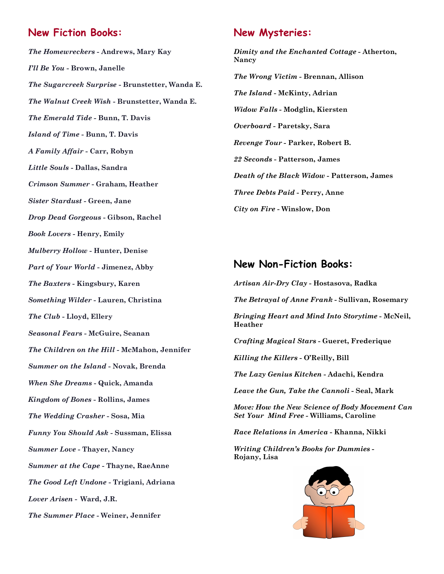### **New Fiction Books:**

*The Homewreckers* **- Andrews, Mary Kay**  *I'll Be You* **- Brown, Janelle**  *The Sugarcreek Surprise* **- Brunstetter, Wanda E.**  *The Walnut Creek Wish* **- Brunstetter, Wanda E.**  *The Emerald Tide -* **Bunn, T. Davis**  *Island of Time* **- Bunn, T. Davis**  *A Family Affair* **- Carr, Robyn**  *Little Souls* **- Dallas, Sandra**  *Crimson Summer* **- Graham, Heather**  *Sister Stardust* **- Green, Jane**  *Drop Dead Gorgeous* **- Gibson, Rachel**  *Book Lovers* **- Henry, Emily**  *Mulberry Hollow* **- Hunter, Denise**  *Part of Your World* **- Jimenez, Abby**  *The Baxters* **- Kingsbury, Karen**  *Something Wilder* **- Lauren, Christina**  *The Club* **- Lloyd, Ellery**  *Seasonal Fears* **- McGuire, Seanan**  *The Children on the Hill -* **McMahon, Jennifer**  *Summer on the Island* **- Novak, Brenda**  *When She Dreams* **- Quick, Amanda**  *Kingdom of Bones* **- Rollins, James**  *The Wedding Crasher* **- Sosa, Mia**  *Funny You Should Ask* **- Sussman, Elissa**  *Summer Love* **- Thayer, Nancy**  *Summer at the Cape* **- Thayne, RaeAnne**  *The Good Left Undone* **- Trigiani, Adriana**  *Lover Arisen* **- Ward, J.R.**  *The Summer Place* **- Weiner, Jennifer** 

### **New Mysteries:**

*Dimity and the Enchanted Cottage* **- Atherton, Nancy**  *The Wrong Victim* **- Brennan, Allison**  *The Island* **- McKinty, Adrian**  *Widow Falls* **- Modglin, Kiersten**  *Overboard -* **Paretsky, Sara**  *Revenge Tour* **- Parker, Robert B.**  *22 Seconds* **- Patterson, James**  *Death of the Black Widow* **- Patterson, James**  *Three Debts Paid* **- Perry, Anne**  *City on Fire -* **Winslow, Don** 

### **New Non-Fiction Books:**

*Artisan Air-Dry Clay* **- Hostasova, Radka**  *The Betrayal of Anne Frank* **- Sullivan, Rosemary**  *Bringing Heart and Mind Into Storytime* **- McNeil, Heather**  *Crafting Magical Stars* **- Gueret, Frederique**  *Killing the Killers -* **O'Reilly, Bill** *The Lazy Genius Kitchen* **- Adachi, Kendra**  *Leave the Gun, Take the Cannoli* **- Seal, Mark**  *Move: How the New Science of Body Movement Can Set Your Mind Free -* **Williams, Caroline** *Race Relations in America* **- Khanna, Nikki** *Writing Children's Books for Dummies* **- Rojany, Lisa**